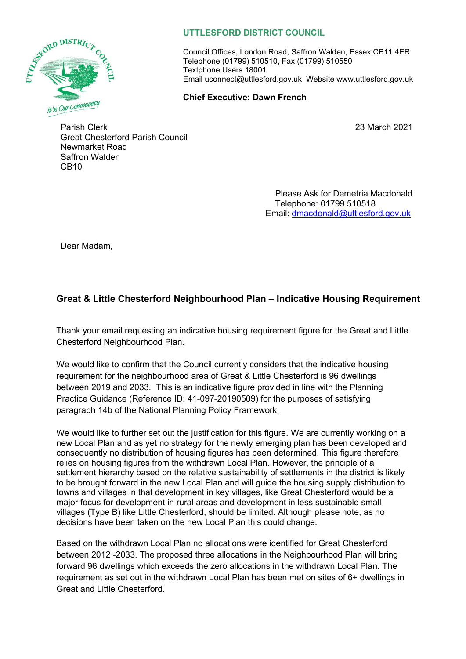

## **UTTLESFORD DISTRICT COUNCIL**

Council Offices, London Road, Saffron Walden, Essex CB11 4ER Telephone (01799) 510510, Fax (01799) 510550 Textphone Users 18001 Email uconnect@uttlesford.gov.uk Website www.uttlesford.gov.uk

## **Chief Executive: Dawn French**

23 March 2021

Parish Clerk Great Chesterford Parish Council Newmarket Road Saffron Walden CB10

> Please Ask for Demetria Macdonald Telephone: 01799 510518 Email: [dmacdonald@uttlesford.gov.uk](mailto:dmacdonald@uttlesford.gov.uk)

Dear Madam,

## **Great & Little Chesterford Neighbourhood Plan – Indicative Housing Requirement**

Thank your email requesting an indicative housing requirement figure for the Great and Little Chesterford Neighbourhood Plan.

We would like to confirm that the Council currently considers that the indicative housing requirement for the neighbourhood area of Great & Little Chesterford is 96 dwellings between 2019 and 2033. This is an indicative figure provided in line with the Planning Practice Guidance (Reference ID: 41-097-20190509) for the purposes of satisfying paragraph 14b of the National Planning Policy Framework.

We would like to further set out the justification for this figure. We are currently working on a new Local Plan and as yet no strategy for the newly emerging plan has been developed and consequently no distribution of housing figures has been determined. This figure therefore relies on housing figures from the withdrawn Local Plan. However, the principle of a settlement hierarchy based on the relative sustainability of settlements in the district is likely to be brought forward in the new Local Plan and will guide the housing supply distribution to towns and villages in that development in key villages, like Great Chesterford would be a major focus for development in rural areas and development in less sustainable small villages (Type B) like Little Chesterford, should be limited. Although please note, as no decisions have been taken on the new Local Plan this could change.

Based on the withdrawn Local Plan no allocations were identified for Great Chesterford between 2012 -2033. The proposed three allocations in the Neighbourhood Plan will bring forward 96 dwellings which exceeds the zero allocations in the withdrawn Local Plan. The requirement as set out in the withdrawn Local Plan has been met on sites of 6+ dwellings in Great and Little Chesterford.